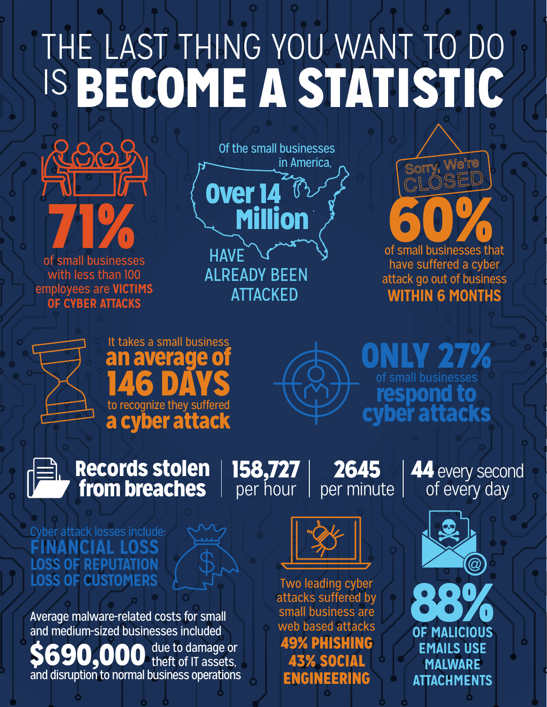# THE LAST THING YOU WANT TO DO IS BECOME A STATISTIC



of small businesses with less than 100 **employees are VICTIMS OF CYBER ATTACKS** 



**ATTACKED** 

of small businesses that have suffered a cyber attack go out of business **WITHIN 6 MONTHS** 

Sorry, We're



It takes a small business n average o **146 DAYS** to recognize they suffered cyber attack



27% Only respond to cyber attacks



Records stolen from breaches

 158,727per hour

2645  $|$  per minute  $|$ 

44 every second of every day

# Cyber attack losses include: **loss financial LOSS OF REPUTATION LOSS OF CUSTOMERS**

Average malware-related costs for small and medium-sized businesses included

\$690,000 and disruption to normal business operations due to damage or theft of IT assets,



Two leading cyber attacks suffered by small business are web based attacks **49% PHISHING** 43% SOCIAL **ENGINEERING**